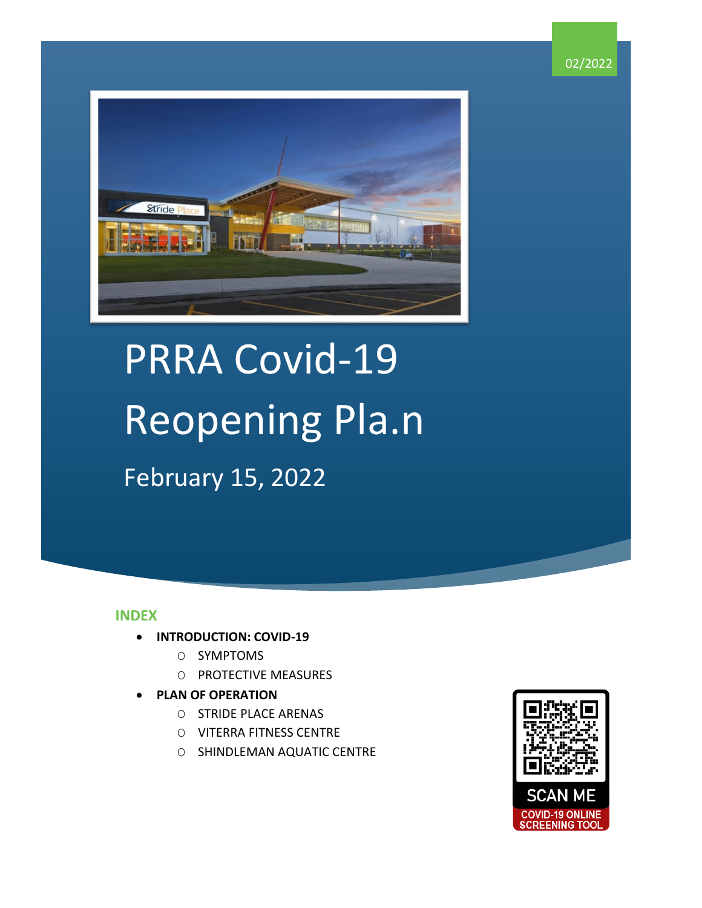

# PRRA Covid-19 Reopening Pla.n February 15, 2022

#### **INDEX**

- **[INTRODUCTION: COVID-19](#page-1-0)**
	- O [SYMPTOMS](#page-1-1)
	- O [PROTECTIVE MEASURES](#page-1-2)
- **[PLAN OF OPERATION](#page-3-0)**
	- O [STRIDE PLACE ARENAS](#page-3-1)
	- O VITERRA FITNESS CENTRE
	- O SHINDLEMAN AQUATIC CENTRE

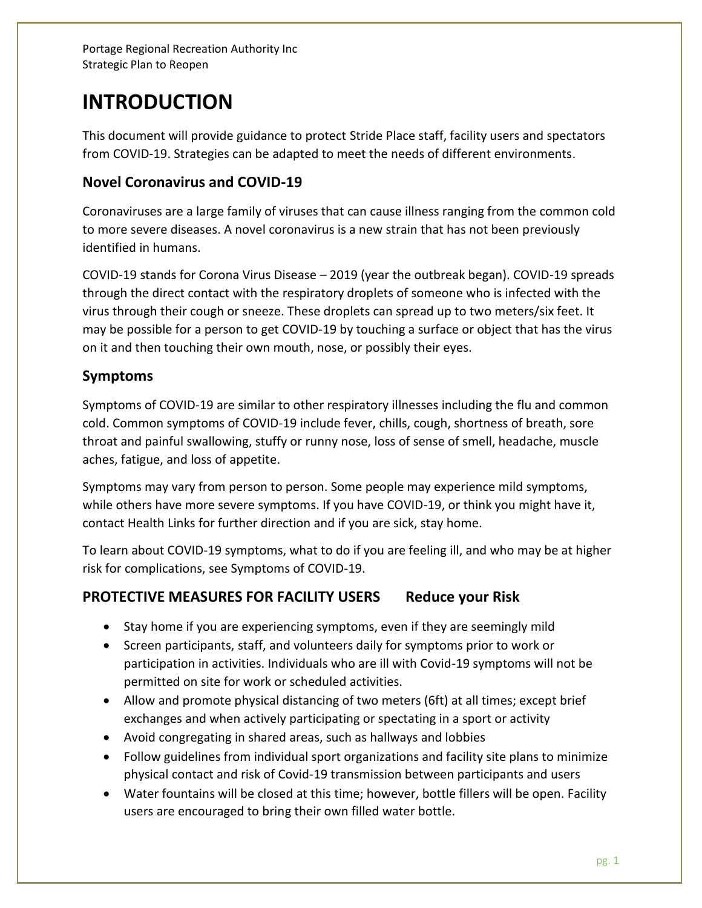# <span id="page-1-0"></span>**INTRODUCTION**

This document will provide guidance to protect Stride Place staff, facility users and spectators from COVID-19. Strategies can be adapted to meet the needs of different environments.

# **Novel Coronavirus and COVID-19**

Coronaviruses are a large family of viruses that can cause illness ranging from the common cold to more severe diseases. A novel coronavirus is a new strain that has not been previously identified in humans.

COVID-19 stands for Corona Virus Disease – 2019 (year the outbreak began). COVID-19 spreads through the direct contact with the respiratory droplets of someone who is infected with the virus through their cough or sneeze. These droplets can spread up to two meters/six feet. It may be possible for a person to get COVID-19 by touching a surface or object that has the virus on it and then touching their own mouth, nose, or possibly their eyes.

# <span id="page-1-1"></span>**Symptoms**

Symptoms of COVID-19 are similar to other respiratory illnesses including the flu and common cold. Common symptoms of COVID-19 include fever, chills, cough, shortness of breath, sore throat and painful swallowing, stuffy or runny nose, loss of sense of smell, headache, muscle aches, fatigue, and loss of appetite.

Symptoms may vary from person to person. Some people may experience mild symptoms, while others have more severe symptoms. If you have COVID-19, or think you might have it, contact Health Links for further direction and if you are sick, stay home.

To learn about COVID-19 symptoms, what to do if you are feeling ill, and who may be at higher risk for complications, see Symptoms of COVID-19.

# **PROTECTIVE MEASURES FOR FACILITY USERS Reduce your Risk**

- <span id="page-1-2"></span>• Stay home if you are experiencing symptoms, even if they are seemingly mild
- Screen participants, staff, and volunteers daily for symptoms prior to work or participation in activities. Individuals who are ill with Covid-19 symptoms will not be permitted on site for work or scheduled activities.
- Allow and promote physical distancing of two meters (6ft) at all times; except brief exchanges and when actively participating or spectating in a sport or activity
- Avoid congregating in shared areas, such as hallways and lobbies
- Follow guidelines from individual sport organizations and facility site plans to minimize physical contact and risk of Covid-19 transmission between participants and users
- Water fountains will be closed at this time; however, bottle fillers will be open. Facility users are encouraged to bring their own filled water bottle.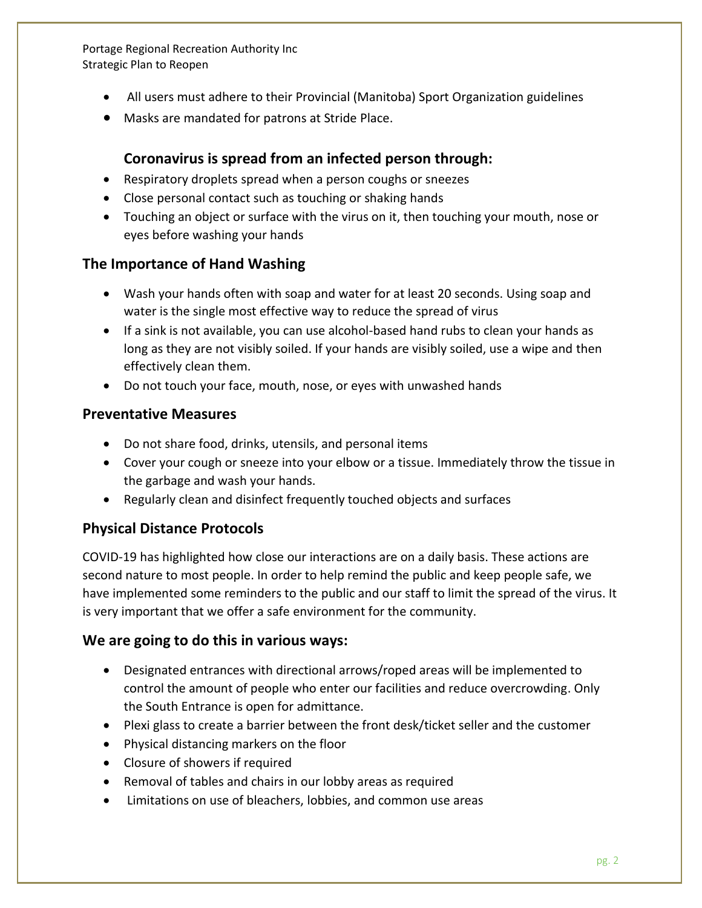- All users must adhere to their Provincial (Manitoba) Sport Organization guidelines
- Masks are mandated for patrons at Stride Place.

## **Coronavirus is spread from an infected person through:**

- Respiratory droplets spread when a person coughs or sneezes
- Close personal contact such as touching or shaking hands
- Touching an object or surface with the virus on it, then touching your mouth, nose or eyes before washing your hands

## **The Importance of Hand Washing**

- Wash your hands often with soap and water for at least 20 seconds. Using soap and water is the single most effective way to reduce the spread of virus
- If a sink is not available, you can use alcohol-based hand rubs to clean your hands as long as they are not visibly soiled. If your hands are visibly soiled, use a wipe and then effectively clean them.
- Do not touch your face, mouth, nose, or eyes with unwashed hands

### **Preventative Measures**

- Do not share food, drinks, utensils, and personal items
- Cover your cough or sneeze into your elbow or a tissue. Immediately throw the tissue in the garbage and wash your hands.
- Regularly clean and disinfect frequently touched objects and surfaces

### **Physical Distance Protocols**

COVID-19 has highlighted how close our interactions are on a daily basis. These actions are second nature to most people. In order to help remind the public and keep people safe, we have implemented some reminders to the public and our staff to limit the spread of the virus. It is very important that we offer a safe environment for the community.

### **We are going to do this in various ways:**

- Designated entrances with directional arrows/roped areas will be implemented to control the amount of people who enter our facilities and reduce overcrowding. Only the South Entrance is open for admittance.
- Plexi glass to create a barrier between the front desk/ticket seller and the customer
- Physical distancing markers on the floor
- Closure of showers if required
- Removal of tables and chairs in our lobby areas as required
- Limitations on use of bleachers, lobbies, and common use areas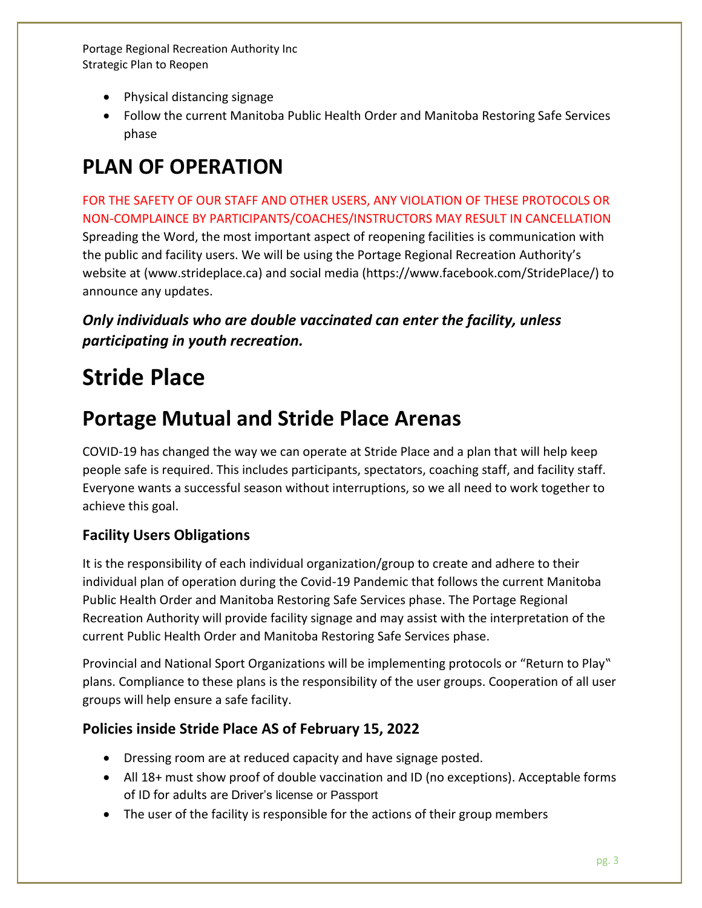- Physical distancing signage
- <span id="page-3-0"></span>• Follow the current Manitoba Public Health Order and Manitoba Restoring Safe Services phase

# **PLAN OF OPERATION**

FOR THE SAFETY OF OUR STAFF AND OTHER USERS, ANY VIOLATION OF THESE PROTOCOLS OR NON-COMPLAINCE BY PARTICIPANTS/COACHES/INSTRUCTORS MAY RESULT IN CANCELLATION Spreading the Word, the most important aspect of reopening facilities is communication with the public and facility users. We will be using the Portage Regional Recreation Authority's website at (www.strideplace.ca) and social media (https://www.facebook.com/StridePlace/) to announce any updates.

*Only individuals who are double vaccinated can enter the facility, unless participating in youth recreation.* 

# **Stride Place**

# <span id="page-3-1"></span>**Portage Mutual and Stride Place Arenas**

COVID-19 has changed the way we can operate at Stride Place and a plan that will help keep people safe is required. This includes participants, spectators, coaching staff, and facility staff. Everyone wants a successful season without interruptions, so we all need to work together to achieve this goal.

# **Facility Users Obligations**

It is the responsibility of each individual organization/group to create and adhere to their individual plan of operation during the Covid-19 Pandemic that follows the current Manitoba Public Health Order and Manitoba Restoring Safe Services phase. The Portage Regional Recreation Authority will provide facility signage and may assist with the interpretation of the current Public Health Order and Manitoba Restoring Safe Services phase.

Provincial and National Sport Organizations will be implementing protocols or "Return to Play" plans. Compliance to these plans is the responsibility of the user groups. Cooperation of all user groups will help ensure a safe facility.

## **Policies inside Stride Place AS of February 15, 2022**

- Dressing room are at reduced capacity and have signage posted.
- All 18+ must show proof of double vaccination and ID (no exceptions). Acceptable forms of ID for adults are Driver's license or Passport
- The user of the facility is responsible for the actions of their group members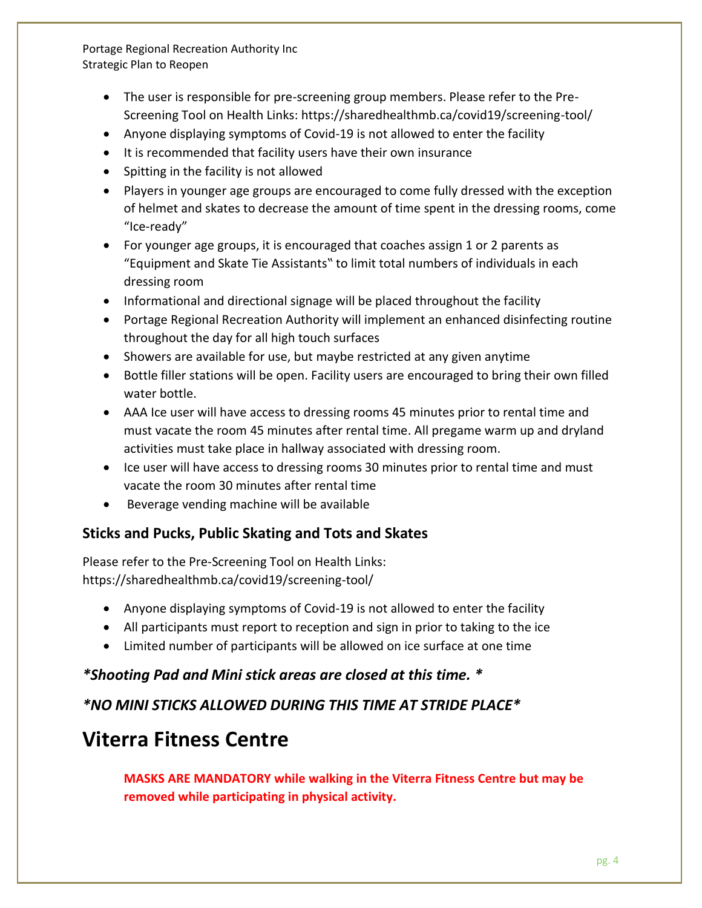- The user is responsible for pre-screening group members. Please refer to the Pre-Screening Tool on Health Links: https://sharedhealthmb.ca/covid19/screening-tool/
- Anyone displaying symptoms of Covid-19 is not allowed to enter the facility
- It is recommended that facility users have their own insurance
- Spitting in the facility is not allowed
- Players in younger age groups are encouraged to come fully dressed with the exception of helmet and skates to decrease the amount of time spent in the dressing rooms, come "Ice-ready"
- For younger age groups, it is encouraged that coaches assign 1 or 2 parents as "Equipment and Skate Tie Assistants" to limit total numbers of individuals in each dressing room
- Informational and directional signage will be placed throughout the facility
- Portage Regional Recreation Authority will implement an enhanced disinfecting routine throughout the day for all high touch surfaces
- Showers are available for use, but maybe restricted at any given anytime
- Bottle filler stations will be open. Facility users are encouraged to bring their own filled water bottle.
- AAA Ice user will have access to dressing rooms 45 minutes prior to rental time and must vacate the room 45 minutes after rental time. All pregame warm up and dryland activities must take place in hallway associated with dressing room.
- Ice user will have access to dressing rooms 30 minutes prior to rental time and must vacate the room 30 minutes after rental time
- Beverage vending machine will be available

### **Sticks and Pucks, Public Skating and Tots and Skates**

Please refer to the Pre-Screening Tool on Health Links: https://sharedhealthmb.ca/covid19/screening-tool/

- Anyone displaying symptoms of Covid-19 is not allowed to enter the facility
- All participants must report to reception and sign in prior to taking to the ice
- Limited number of participants will be allowed on ice surface at one time

## *\*Shooting Pad and Mini stick areas are closed at this time. \**

*\*NO MINI STICKS ALLOWED DURING THIS TIME AT STRIDE PLACE\**

# **Viterra Fitness Centre**

**MASKS ARE MANDATORY while walking in the Viterra Fitness Centre but may be removed while participating in physical activity.**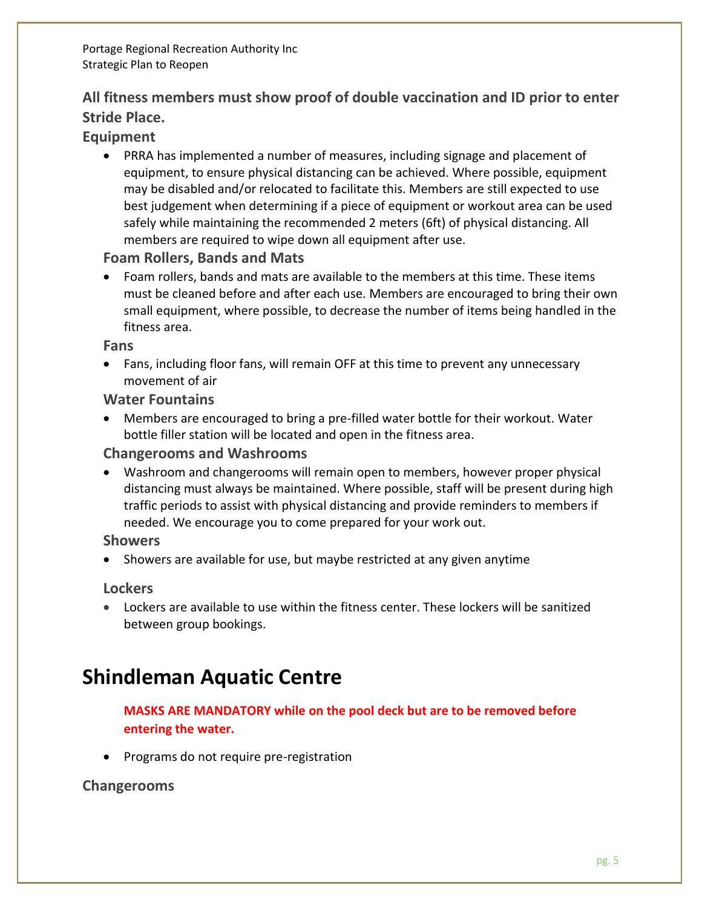## **All fitness members must show proof of double vaccination and ID prior to enter Stride Place.**

#### **Equipment**

• PRRA has implemented a number of measures, including signage and placement of equipment, to ensure physical distancing can be achieved. Where possible, equipment may be disabled and/or relocated to facilitate this. Members are still expected to use best judgement when determining if a piece of equipment or workout area can be used safely while maintaining the recommended 2 meters (6ft) of physical distancing. All members are required to wipe down all equipment after use.

#### **Foam Rollers, Bands and Mats**

• Foam rollers, bands and mats are available to the members at this time. These items must be cleaned before and after each use. Members are encouraged to bring their own small equipment, where possible, to decrease the number of items being handled in the fitness area.

#### **Fans**

• Fans, including floor fans, will remain OFF at this time to prevent any unnecessary movement of air

#### **Water Fountains**

• Members are encouraged to bring a pre-filled water bottle for their workout. Water bottle filler station will be located and open in the fitness area.

#### **Changerooms and Washrooms**

• Washroom and changerooms will remain open to members, however proper physical distancing must always be maintained. Where possible, staff will be present during high traffic periods to assist with physical distancing and provide reminders to members if needed. We encourage you to come prepared for your work out.

#### **Showers**

• Showers are available for use, but maybe restricted at any given anytime

#### **Lockers**

• Lockers are available to use within the fitness center. These lockers will be sanitized between group bookings.

# **Shindleman Aquatic Centre**

### **MASKS ARE MANDATORY while on the pool deck but are to be removed before entering the water.**

• Programs do not require pre-registration

#### **Changerooms**